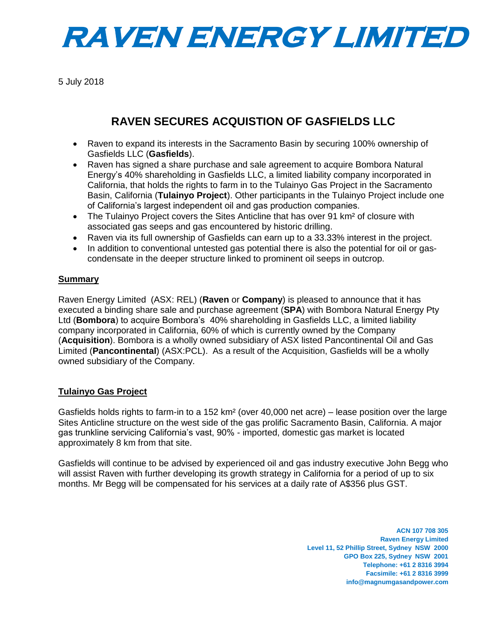

5 July 2018

# **RAVEN SECURES ACQUISTION OF GASFIELDS LLC**

- Raven to expand its interests in the Sacramento Basin by securing 100% ownership of Gasfields LLC (**Gasfields**).
- Raven has signed a share purchase and sale agreement to acquire Bombora Natural Energy's 40% shareholding in Gasfields LLC, a limited liability company incorporated in California, that holds the rights to farm in to the Tulainyo Gas Project in the Sacramento Basin, California (**Tulainyo Project**). Other participants in the Tulainyo Project include one of California's largest independent oil and gas production companies.
- The Tulainyo Project covers the Sites Anticline that has over 91 km<sup>2</sup> of closure with associated gas seeps and gas encountered by historic drilling.
- Raven via its full ownership of Gasfields can earn up to a 33.33% interest in the project.
- In addition to conventional untested gas potential there is also the potential for oil or gascondensate in the deeper structure linked to prominent oil seeps in outcrop.

#### **Summary**

Raven Energy Limited (ASX: REL) (**Raven** or **Company**) is pleased to announce that it has executed a binding share sale and purchase agreement (**SPA**) with Bombora Natural Energy Pty Ltd (**Bombora**) to acquire Bombora's 40% shareholding in Gasfields LLC, a limited liability company incorporated in California, 60% of which is currently owned by the Company (**Acquisition**). Bombora is a wholly owned subsidiary of ASX listed Pancontinental Oil and Gas Limited (**Pancontinental**) (ASX:PCL). As a result of the Acquisition, Gasfields will be a wholly owned subsidiary of the Company.

### **Tulainyo Gas Project**

Gasfields holds rights to farm-in to a 152 km² (over 40,000 net acre) – lease position over the large Sites Anticline structure on the west side of the gas prolific Sacramento Basin, California. A major gas trunkline servicing California's vast, 90% - imported, domestic gas market is located approximately 8 km from that site.

Gasfields will continue to be advised by experienced oil and gas industry executive John Begg who will assist Raven with further developing its growth strategy in California for a period of up to six months. Mr Begg will be compensated for his services at a daily rate of A\$356 plus GST.

> **ACN 107 708 305 Raven Energy Limited Level 11, 52 Phillip Street, Sydney NSW 2000 GPO Box 225, Sydney NSW 2001 Telephone: +61 2 8316 3994 Facsimile: +61 2 8316 3999 info@magnumgasandpower.com**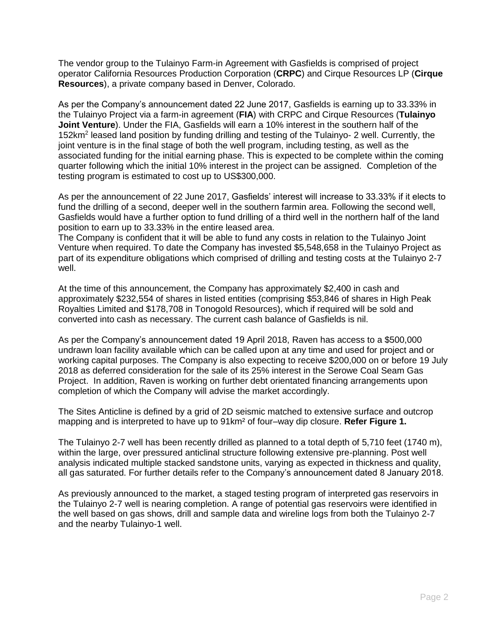The vendor group to the Tulainyo Farm-in Agreement with Gasfields is comprised of project operator California Resources Production Corporation (**CRPC**) and Cirque Resources LP (**Cirque Resources**), a private company based in Denver, Colorado.

As per the Company's announcement dated 22 June 2017, Gasfields is earning up to 33.33% in the Tulainyo Project via a farm-in agreement (**FIA**) with CRPC and Cirque Resources (**Tulainyo Joint Venture**). Under the FIA, Gasfields will earn a 10% interest in the southern half of the 152km<sup>2</sup> leased land position by funding drilling and testing of the Tulainyo- 2 well. Currently, the joint venture is in the final stage of both the well program, including testing, as well as the associated funding for the initial earning phase. This is expected to be complete within the coming quarter following which the initial 10% interest in the project can be assigned. Completion of the testing program is estimated to cost up to US\$300,000.

As per the announcement of 22 June 2017, Gasfields' interest will increase to 33.33% if it elects to fund the drilling of a second, deeper well in the southern farmin area. Following the second well, Gasfields would have a further option to fund drilling of a third well in the northern half of the land position to earn up to 33.33% in the entire leased area.

The Company is confident that it will be able to fund any costs in relation to the Tulainyo Joint Venture when required. To date the Company has invested \$5,548,658 in the Tulainyo Project as part of its expenditure obligations which comprised of drilling and testing costs at the Tulainyo 2-7 well.

At the time of this announcement, the Company has approximately \$2,400 in cash and approximately \$232,554 of shares in listed entities (comprising \$53,846 of shares in High Peak Royalties Limited and \$178,708 in Tonogold Resources), which if required will be sold and converted into cash as necessary. The current cash balance of Gasfields is nil.

As per the Company's announcement dated 19 April 2018, Raven has access to a \$500,000 undrawn loan facility available which can be called upon at any time and used for project and or working capital purposes. The Company is also expecting to receive \$200,000 on or before 19 July 2018 as deferred consideration for the sale of its 25% interest in the Serowe Coal Seam Gas Project. In addition, Raven is working on further debt orientated financing arrangements upon completion of which the Company will advise the market accordingly.

The Sites Anticline is defined by a grid of 2D seismic matched to extensive surface and outcrop mapping and is interpreted to have up to 91km² of four–way dip closure. **Refer Figure 1.**

The Tulainyo 2-7 well has been recently drilled as planned to a total depth of 5,710 feet (1740 m), within the large, over pressured anticlinal structure following extensive pre-planning. Post well analysis indicated multiple stacked sandstone units, varying as expected in thickness and quality, all gas saturated. For further details refer to the Company's announcement dated 8 January 2018.

As previously announced to the market, a staged testing program of interpreted gas reservoirs in the Tulainyo 2-7 well is nearing completion. A range of potential gas reservoirs were identified in the well based on gas shows, drill and sample data and wireline logs from both the Tulainyo 2-7 and the nearby Tulainyo-1 well.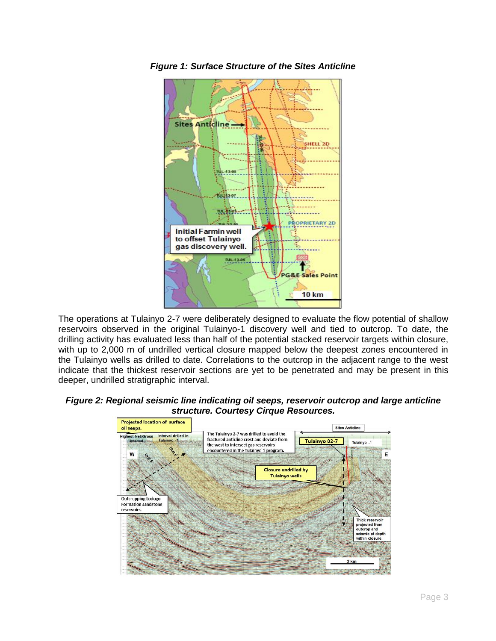

*Figure 1: Surface Structure of the Sites Anticline*

The operations at Tulainyo 2-7 were deliberately designed to evaluate the flow potential of shallow reservoirs observed in the original Tulainyo-1 discovery well and tied to outcrop. To date, the drilling activity has evaluated less than half of the potential stacked reservoir targets within closure, with up to 2,000 m of undrilled vertical closure mapped below the deepest zones encountered in the Tulainyo wells as drilled to date. Correlations to the outcrop in the adjacent range to the west indicate that the thickest reservoir sections are yet to be penetrated and may be present in this deeper, undrilled stratigraphic interval.

#### *Figure 2: Regional seismic line indicating oil seeps, reservoir outcrop and large anticline structure. Courtesy Cirque Resources.*

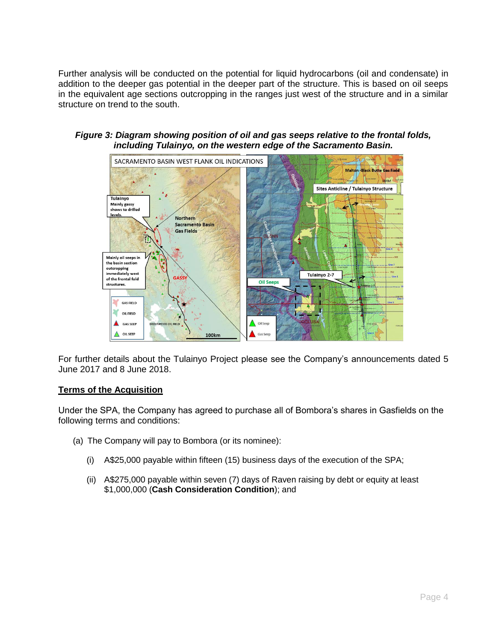Further analysis will be conducted on the potential for liquid hydrocarbons (oil and condensate) in addition to the deeper gas potential in the deeper part of the structure. This is based on oil seeps in the equivalent age sections outcropping in the ranges just west of the structure and in a similar structure on trend to the south.



#### *Figure 3: Diagram showing position of oil and gas seeps relative to the frontal folds, including Tulainyo, on the western edge of the Sacramento Basin.*

For further details about the Tulainyo Project please see the Company's announcements dated 5 June 2017 and 8 June 2018.

### **Terms of the Acquisition**

Under the SPA, the Company has agreed to purchase all of Bombora's shares in Gasfields on the following terms and conditions:

- (a) The Company will pay to Bombora (or its nominee):
	- (i) A\$25,000 payable within fifteen (15) business days of the execution of the SPA;
	- (ii) A\$275,000 payable within seven (7) days of Raven raising by debt or equity at least \$1,000,000 (**Cash Consideration Condition**); and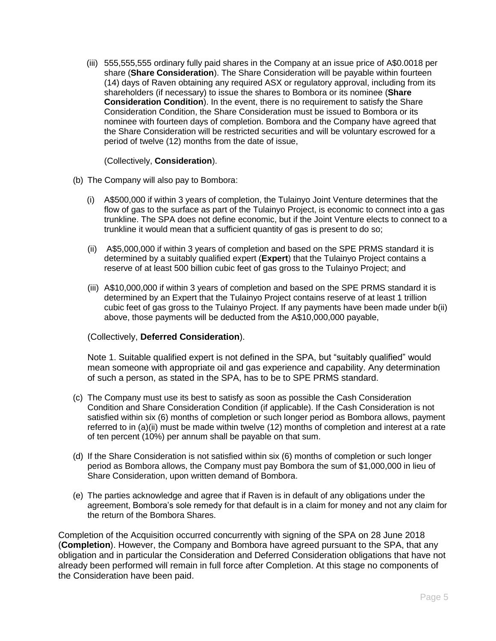(iii) 555,555,555 ordinary fully paid shares in the Company at an issue price of A\$0.0018 per share (**Share Consideration**). The Share Consideration will be payable within fourteen (14) days of Raven obtaining any required ASX or regulatory approval, including from its shareholders (if necessary) to issue the shares to Bombora or its nominee (**Share Consideration Condition**). In the event, there is no requirement to satisfy the Share Consideration Condition, the Share Consideration must be issued to Bombora or its nominee with fourteen days of completion. Bombora and the Company have agreed that the Share Consideration will be restricted securities and will be voluntary escrowed for a period of twelve (12) months from the date of issue,

(Collectively, **Consideration**).

- (b) The Company will also pay to Bombora:
	- (i) A\$500,000 if within 3 years of completion, the Tulainyo Joint Venture determines that the flow of gas to the surface as part of the Tulainyo Project, is economic to connect into a gas trunkline. The SPA does not define economic, but if the Joint Venture elects to connect to a trunkline it would mean that a sufficient quantity of gas is present to do so;
	- (ii) A\$5,000,000 if within 3 years of completion and based on the SPE PRMS standard it is determined by a suitably qualified expert (**Expert**) that the Tulainyo Project contains a reserve of at least 500 billion cubic feet of gas gross to the Tulainyo Project; and
	- (iii) A\$10,000,000 if within 3 years of completion and based on the SPE PRMS standard it is determined by an Expert that the Tulainyo Project contains reserve of at least 1 trillion cubic feet of gas gross to the Tulainyo Project. If any payments have been made under b(ii) above, those payments will be deducted from the A\$10,000,000 payable,

#### (Collectively, **Deferred Consideration**).

Note 1. Suitable qualified expert is not defined in the SPA, but "suitably qualified" would mean someone with appropriate oil and gas experience and capability. Any determination of such a person, as stated in the SPA, has to be to SPE PRMS standard.

- (c) The Company must use its best to satisfy as soon as possible the Cash Consideration Condition and Share Consideration Condition (if applicable). If the Cash Consideration is not satisfied within six (6) months of completion or such longer period as Bombora allows, payment referred to in (a)(ii) must be made within twelve (12) months of completion and interest at a rate of ten percent (10%) per annum shall be payable on that sum.
- (d) If the Share Consideration is not satisfied within six (6) months of completion or such longer period as Bombora allows, the Company must pay Bombora the sum of \$1,000,000 in lieu of Share Consideration, upon written demand of Bombora.
- (e) The parties acknowledge and agree that if Raven is in default of any obligations under the agreement, Bombora's sole remedy for that default is in a claim for money and not any claim for the return of the Bombora Shares.

Completion of the Acquisition occurred concurrently with signing of the SPA on 28 June 2018 (**Completion**). However, the Company and Bombora have agreed pursuant to the SPA, that any obligation and in particular the Consideration and Deferred Consideration obligations that have not already been performed will remain in full force after Completion. At this stage no components of the Consideration have been paid.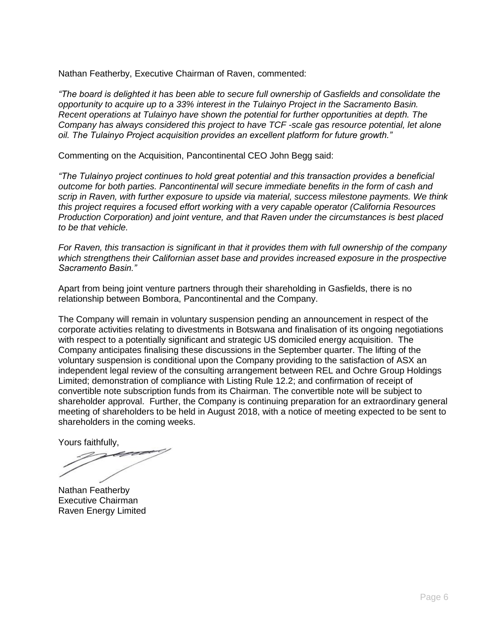Nathan Featherby, Executive Chairman of Raven, commented:

*"The board is delighted it has been able to secure full ownership of Gasfields and consolidate the opportunity to acquire up to a 33% interest in the Tulainyo Project in the Sacramento Basin. Recent operations at Tulainyo have shown the potential for further opportunities at depth. The Company has always considered this project to have TCF -scale gas resource potential, let alone oil. The Tulainyo Project acquisition provides an excellent platform for future growth."* 

Commenting on the Acquisition, Pancontinental CEO John Begg said:

*"The Tulainyo project continues to hold great potential and this transaction provides a beneficial outcome for both parties. Pancontinental will secure immediate benefits in the form of cash and scrip in Raven, with further exposure to upside via material, success milestone payments. We think this project requires a focused effort working with a very capable operator (California Resources Production Corporation) and joint venture, and that Raven under the circumstances is best placed to be that vehicle.*

*For Raven, this transaction is significant in that it provides them with full ownership of the company which strengthens their Californian asset base and provides increased exposure in the prospective Sacramento Basin."*

Apart from being joint venture partners through their shareholding in Gasfields, there is no relationship between Bombora, Pancontinental and the Company.

The Company will remain in voluntary suspension pending an announcement in respect of the corporate activities relating to divestments in Botswana and finalisation of its ongoing negotiations with respect to a potentially significant and strategic US domiciled energy acquisition. The Company anticipates finalising these discussions in the September quarter. The lifting of the voluntary suspension is conditional upon the Company providing to the satisfaction of ASX an independent legal review of the consulting arrangement between REL and Ochre Group Holdings Limited; demonstration of compliance with Listing Rule 12.2; and confirmation of receipt of convertible note subscription funds from its Chairman. The convertible note will be subject to shareholder approval. Further, the Company is continuing preparation for an extraordinary general meeting of shareholders to be held in August 2018, with a notice of meeting expected to be sent to shareholders in the coming weeks.

Yours faithfully,

Nathan Featherby Executive Chairman Raven Energy Limited